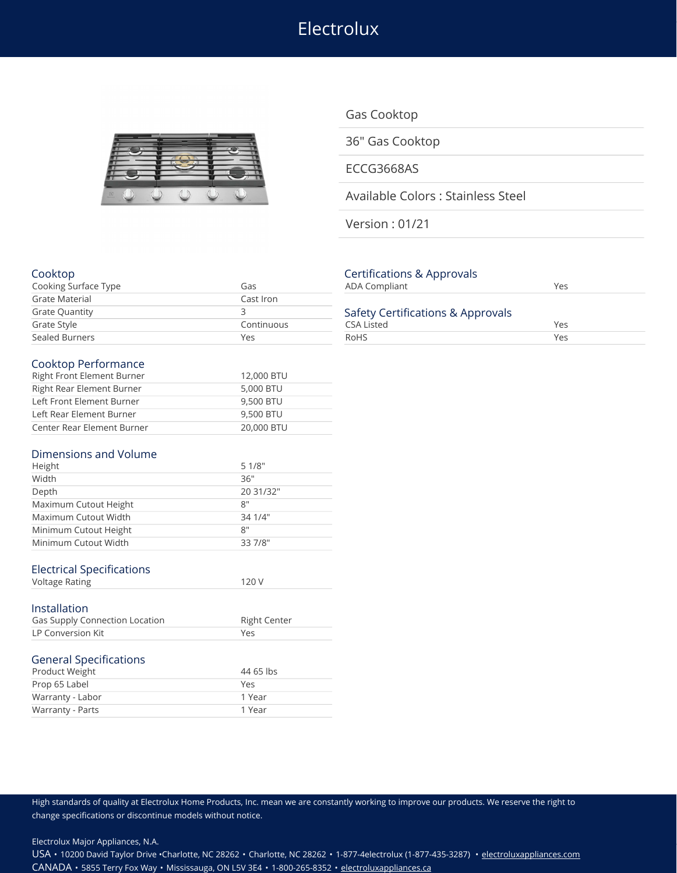Electrolux



Gas Cooktop

36" Gas Cooktop

ECCG3668AS

Available Colors : Stainless Steel

Version : 01/21

### Cooktop Certifications & Approvals

| Cooking Surface Type  | Gas        | ADA Compliant                     | Yes |  |
|-----------------------|------------|-----------------------------------|-----|--|
| Grate Material        | Cast Iron  |                                   |     |  |
| <b>Grate Quantity</b> |            | Safety Certifications & Approvals |     |  |
| Grate Style           | Continuous | CSA Listed                        | Yes |  |
| Sealed Burners        | Yes        | RoHS                              | Yes |  |

#### Cooktop Performance

| Right Front Element Burner | 12,000 BTU |
|----------------------------|------------|
| Right Rear Element Burner  | 5,000 BTU  |
| Left Front Element Burner  | 9,500 BTU  |
| Left Rear Element Burner   | 9,500 BTU  |
| Center Rear Element Burner | 20,000 BTU |

#### Dimensions and Volume

| Height                | 51/8"     |
|-----------------------|-----------|
| Width                 | 36"       |
| Depth                 | 20 31/32" |
| Maximum Cutout Height | 8"        |
| Maximum Cutout Width  | 34 1/4"   |
| Minimum Cutout Height | 8"        |
| Minimum Cutout Width  | 33 7/8"   |
|                       |           |

## Electrical Specifications

| <b>Voltage Rating</b> |  |
|-----------------------|--|
|                       |  |

## Installation

| Gas Supply Connection Location | <b>Right Center</b> |
|--------------------------------|---------------------|
| LP Conversion Kit              | Yρς                 |
|                                |                     |

# General Specifications

| Warranty - Parts | 1 Year    |
|------------------|-----------|
| Warranty - Labor | 1 Year    |
| Prop 65 Label    | Yes       |
| Product Weight   | 44 65 lbs |

| CEI UNICATIONS & Applibition<br><b>ADA Compliant</b>   | Yes |  |
|--------------------------------------------------------|-----|--|
| Safety Certifications & Approvals<br><b>CSA Listed</b> | Yes |  |
| RoHS                                                   | Yes |  |

High standards of quality at Electrolux Home Products, Inc. mean we are constantly working to improve our products. We reserve the right to change specifications or discontinue models without notice.

Electrolux Major Appliances, N.A.

USA • 10200 David Taylor Drive •Charlotte, NC 28262 • Charlotte, NC 28262 • 1-877-4electrolux (1-877-435-3287) • [electroluxappliances.com](http://electroluxappliances.com) CANADA • 5855 Terry Fox Way • Mississauga, ON L5V 3E4 • 1-800-265-8352 • [electroluxappliances.ca](http://electroluxappliances.ca)